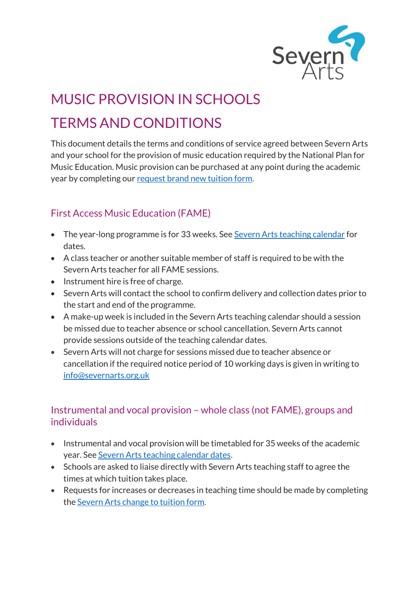

# MUSIC PROVISION IN SCHOOLS TERMS AND CONDITIONS

This document details the terms and conditions of service agreed between Severn Arts and your school for the provision of music education required by the National Plan for Music Education. Music provision can be purchased at any point during the academic year by completing our [request brand new tuition form.](https://online.severnarts.org.uk/request-brand-new-tuition/)

## First Access Music Education (FAME)

- The year-long programme is for 33 weeks. See [Severn Arts teaching calendar](https://online.severnarts.org.uk/teaching-calendar-2022-2023/) for dates.
- A class teacher or another suitable member of staff is required to be with the Severn Arts teacher for all FAME sessions.
- Instrument hire is free of charge.
- Severn Arts will contact the school to confirm delivery and collection dates prior to the start and end of the programme.
- A make-up week is included in the Severn Arts teaching calendar should a session be missed due to teacher absence or school cancellation. Severn Arts cannot provide sessions outside of the teaching calendar dates.
- Severn Arts will not charge for sessions missed due to teacher absence or cancellation if the required notice period of 10 working days is given in writing to [info@severnarts.org.uk](https://severnarts.sharepoint.com/sites/SevernArts/Shared%20Documents/Marketing%20and%20Communications/Marketing%20materials/Schools/Information%20pack/info@severnarts.org.uk)

### Instrumental and vocal provision – whole class (not FAME), groups and individuals

- Instrumental and vocal provision will be timetabled for 35 weeks of the academic year. Se[e Severn Arts teaching calendar dates.](https://online.severnarts.org.uk/teaching-calendar-2022-2023/)
- Schools are asked to liaise directly with Severn Arts teaching staff to agree the times at which tuition takes place.
- Requests for increases or decreases in teaching time should be made by completing the [Severn Arts change to tuition form.](https://online.severnarts.org.uk/change-to-tuition-time/)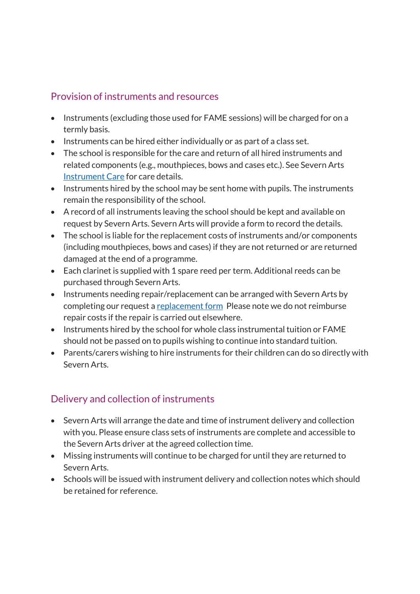#### Provision of instruments and resources

- Instruments (excluding those used for FAME sessions) will be charged for on a termly basis.
- Instruments can be hired either individually or as part of a class set.
- The school is responsible for the care and return of all hired instruments and related components (e.g., mouthpieces, bows and cases etc.). See Severn Arts [Instrument Care](https://www.severnarts.org.uk/first-access-music-education-fame-documents) for care details.
- Instruments hired by the school may be sent home with pupils. The instruments remain the responsibility of the school.
- A record of all instruments leaving the school should be kept and available on request by Severn Arts. Severn Arts will provide a form to record the details.
- The school is liable for the replacement costs of instruments and/or components (including mouthpieces, bows and cases) if they are not returned or are returned damaged at the end of a programme.
- Each clarinet is supplied with 1 spare reed per term. Additional reeds can be purchased through Severn Arts.
- Instruments needing repair/replacement can be arranged with Severn Arts by completing our request [a replacement form](https://online.severnarts.org.uk/instrument-exchange/) Please note we do not reimburse repair costs if the repair is carried out elsewhere.
- Instruments hired by the school for whole class instrumental tuition or FAME should not be passed on to pupils wishing to continue into standard tuition.
- Parents/carers wishing to hire instruments for their children can do so directly with Severn Arts.

## Delivery and collection of instruments

- Severn Arts will arrange the date and time of instrument delivery and collection with you. Please ensure class sets of instruments are complete and accessible to the Severn Arts driver at the agreed collection time.
- Missing instruments will continue to be charged for until they are returned to Severn Arts.
- Schools will be issued with instrument delivery and collection notes which should be retained for reference.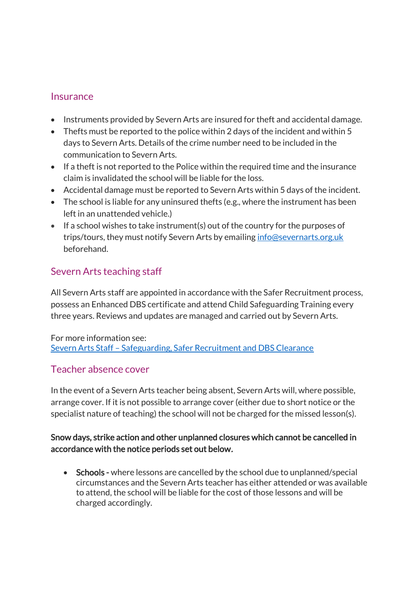#### **Insurance**

- Instruments provided by Severn Arts are insured for theft and accidental damage.
- Thefts must be reported to the police within 2 days of the incident and within 5 days to Severn Arts. Details of the crime number need to be included in the communication to Severn Arts.
- If a theft is not reported to the Police within the required time and the insurance claim is invalidated the school will be liable for the loss.
- Accidental damage must be reported to Severn Arts within 5 days of the incident.
- The school is liable for any uninsured thefts (e.g., where the instrument has been left in an unattended vehicle.)
- If a school wishes to take instrument(s) out of the country for the purposes of trips/tours, they must notify Severn Arts by emailing [info@severnarts.org.uk](mailto:info@severnarts.org.uk) beforehand.

## Severn Arts teaching staff

All Severn Arts staff are appointed in accordance with the Safer Recruitment process, possess an Enhanced DBS certificate and attend Child Safeguarding Training every three years. Reviews and updates are managed and carried out by Severn Arts.

For more information see: Severn Arts Staff – [Safeguarding, Safer Recruitment and DBS Clearance](https://www.severnarts.org.uk/Pages/Display.aspx?IsPreview=true&PostType=Page&IDPost=60eaa525-d76e-4b02-8d40-28689a8ad1e4)

#### Teacher absence cover

In the event of a Severn Arts teacher being absent, Severn Arts will, where possible, arrange cover. If it is not possible to arrange cover (either due to short notice or the specialist nature of teaching) the school will not be charged for the missed lesson(s).

#### Snow days, strike action and other unplanned closures which cannot be cancelled in accordance with the notice periods set out below.

• Schools - where lessons are cancelled by the school due to unplanned/special circumstances and the Severn Arts teacher has either attended or was available to attend, the school will be liable for the cost of those lessons and will be charged accordingly.